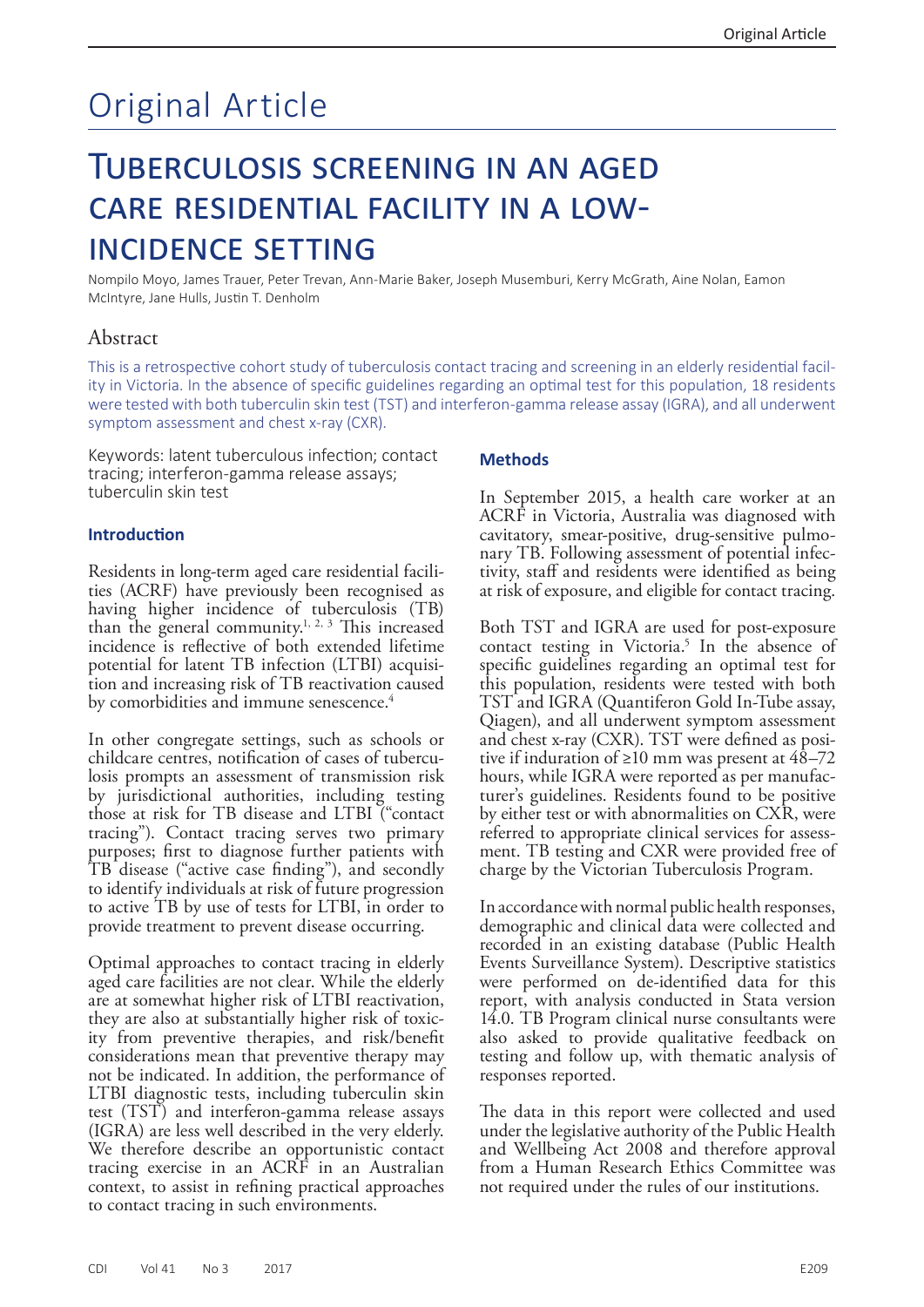# Original Article

# Tuberculosis screening in an aged care residential facility in a lowincidence setting

Nompilo Moyo, James Trauer, Peter Trevan, Ann-Marie Baker, Joseph Musemburi, Kerry McGrath, Aine Nolan, Eamon McIntyre, Jane Hulls, Justin T. Denholm

# Abstract

This is a retrospective cohort study of tuberculosis contact tracing and screening in an elderly residential facility in Victoria. In the absence of specific guidelines regarding an optimal test for this population, 18 residents were tested with both tuberculin skin test (TST) and interferon-gamma release assay (IGRA), and all underwent symptom assessment and chest x-ray (CXR).

Keywords: latent tuberculous infection; contact tracing; interferon-gamma release assays; tuberculin skin test

# **Introduction**

Residents in long-term aged care residential facilities (ACRF) have previously been recognised as having higher incidence of tuberculosis (TB) than the general community.<sup>1, 2, 3</sup> This increased incidence is reflective of both extended lifetime potential for latent TB infection (LTBI) acquisition and increasing risk of TB reactivation caused by comorbidities and immune senescence.<sup>4</sup>

In other congregate settings, such as schools or losis prompts an assessment of transmission risk by jurisdictional authorities, including testing those at risk for TB disease and LTBI ("contact tracing"). Contact tracing serves two primary purposes; first to diagnose further patients with TB disease ("active case finding"), and secondly to identify individuals at risk of future progression to active TB by use of tests for LTBI, in order to provide treatment to prevent disease occurring.

Optimal approaches to contact tracing in elderly aged care facilities are not clear. While the elderly are at somewhat higher risk of LTBI reactivation, they are also at substantially higher risk of toxicity from preventive therapies, and risk/benefit considerations mean that preventive therapy may not be indicated. In addition, the performance of LTBI diagnostic tests, including tuberculin skin test (TST) and interferon-gamma release assays (IGRA) are less well described in the very elderly. We therefore describe an opportunistic contact tracing exercise in an ACRF in an Australian context, to assist in refining practical approaches to contact tracing in such environments.

# **Methods**

In September 2015, a health care worker at an ACRF in Victoria, Australia was diagnosed with cavitatory, smear-positive, drug-sensitive pulmonary TB. Following assessment of potential infectivity, staff and residents were identified as being at risk of exposure, and eligible for contact tracing.

Both TST and IGRA are used for post-exposure contact testing in Victoria.<sup>5</sup> In the absence of specific guidelines regarding an optimal test for this population, residents were tested with both TST and IGRA (Quantiferon Gold In-Tube assay, Qiagen), and all underwent symptom assessment tive if induration of ≥10 mm was present at 48–72 hours, while IGRA were reported as per manufac- turer's guidelines. Residents found to be positive by either test or with abnormalities on CXR, were<br>referred to appropriate clinical services for assessment. TB testing and CXR were provided free of charge by the Victorian Tuberculosis Program.

In accordance with normal public health responses, demographic and clinical data were collected and recorded in an existing database (Public Health Events Surveillance System). Descriptive statistics were performed on de-identified data for this report, with analysis conducted in Stata version 14.0. TB Program clinical nurse consultants were also asked to provide qualitative feedback on testing and follow up, with thematic analysis of responses reported.

The data in this report were collected and used under the legislative authority of the Public Health and Wellbeing Act 2008 and therefore approval from a Human Research Ethics Committee was not required under the rules of our institutions.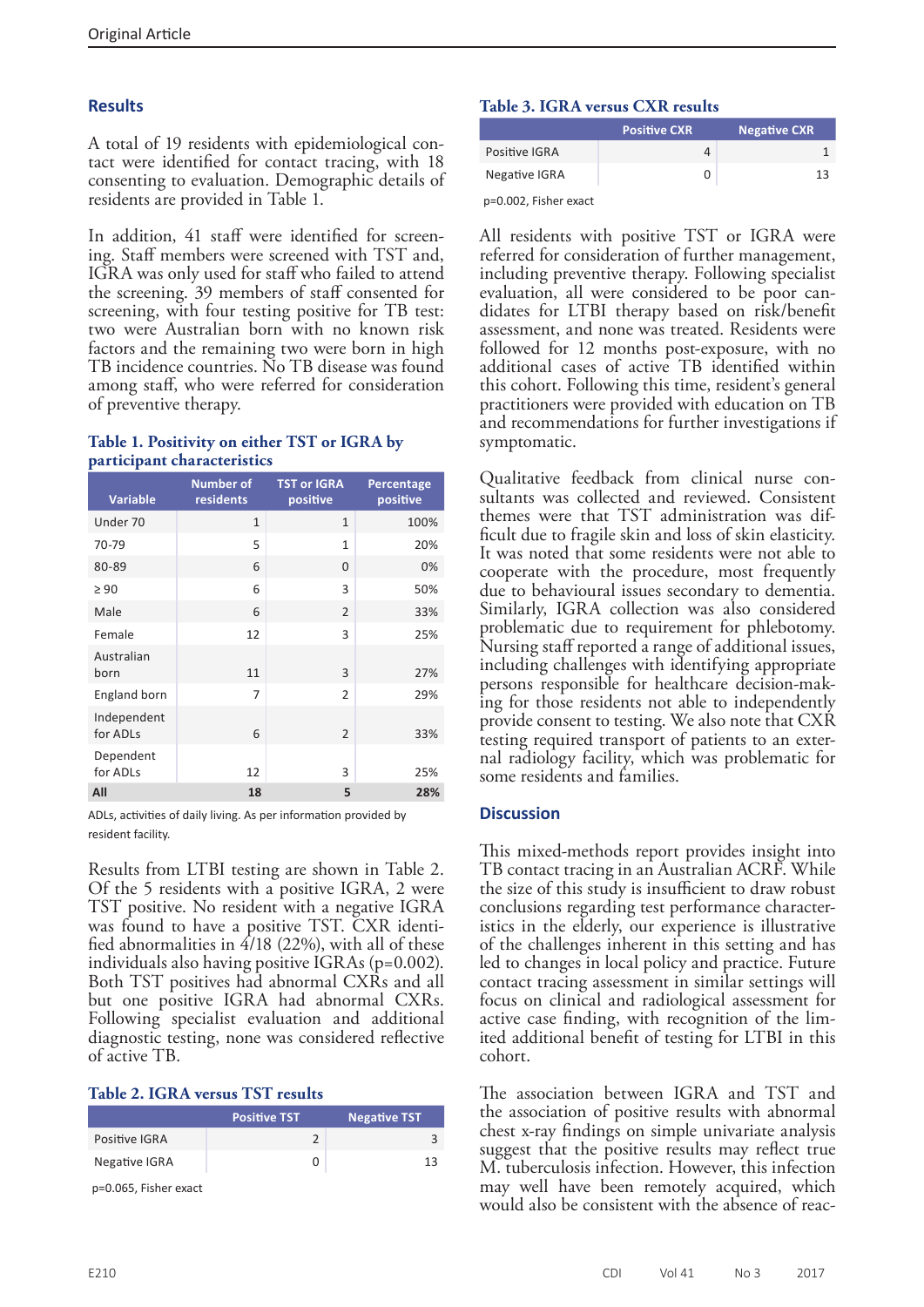# **Results**

A total of 19 residents with epidemiological contact were identified for contact tracing, with 18 consenting to evaluation. Demographic details of residents are provided in Table 1.

In addition, 41 staff were identified for screening. Staff members were screened with TST and, IGRA was only used for staff who failed to attend the screening. 39 members of staff consented for screening, with four testing positive for TB test: two were Australian born with no known risk factors and the remaining two were born in high TB incidence countries. No TB disease was found among staff, who were referred for consideration of preventive therapy.

#### **Table 1. Positivity on either TST or IGRA by participant characteristics**

| <b>Variable</b>         | Number of<br>residents | <b>TST or IGRA</b><br>positive | Percentage<br>positive |
|-------------------------|------------------------|--------------------------------|------------------------|
| Under 70                | $\mathbf{1}$           | $\mathbf{1}$                   | 100%                   |
| 70-79                   | 5                      | $\mathbf{1}$                   | 20%                    |
| 80-89                   | 6                      | $\Omega$                       | 0%                     |
| $\geq 90$               | 6                      | 3                              | 50%                    |
| Male                    | 6                      | $\overline{2}$                 | 33%                    |
| Female                  | 12                     | 3                              | 25%                    |
| Australian<br>born      | 11                     | 3                              | 27%                    |
| England born            | 7                      | $\overline{2}$                 | 29%                    |
| Independent<br>for ADLs | 6                      | $\overline{2}$                 | 33%                    |
| Dependent<br>for ADLs   | 12                     | 3                              | 25%                    |
| All                     | 18                     | 5                              | 28%                    |

ADLs, activities of daily living. As per information provided by resident facility.

Results from LTBI testing are shown in Table 2. Of the 5 residents with a positive IGRA, 2 were TST positive. No resident with a negative IGRA was found to have a positive TST. CXR identi- fied abnormalities in 4/18 (22%), with all of these individuals also having positive IGRAs (p=0.002). Both TST positives had abnormal CXRs and all but one positive IGRA had abnormal CXRs. Following specialist evaluation and additional diagnostic testing, none was considered reflective of active TB.

#### **Table 2. IGRA versus TST results**

|                                                  | <b>Positive TST</b> | <b>Negative TST</b> |
|--------------------------------------------------|---------------------|---------------------|
| Positive IGRA                                    |                     |                     |
| Negative IGRA                                    |                     |                     |
| $\sim$ $\sim$ $\sim$ $\sim$ $\sim$ $\sim$ $\sim$ |                     |                     |

p=0.065, Fisher exact

### **Table 3. IGRA versus CXR results**

|                          | <b>Positive CXR</b> | <b>Negative CXR</b> |
|--------------------------|---------------------|---------------------|
| Positive IGRA            | 4                   |                     |
| Negative IGRA            |                     | 13                  |
| $p=0.002$ . Fisher exact |                     |                     |

All residents with positive TST or IGRA were referred for consideration of further management, including preventive therapy. Following specialist evaluation, all were considered to be poor candidates for LTBI therapy based on risk/benefit assessment, and none was treated. Residents were followed for 12 months post-exposure, with no additional cases of active TB identified within this cohort. Following this time, resident's general practitioners were provided with education on TB and recommendations for further investigations if symptomatic.

Qualitative feedback from clinical nurse consultants was collected and reviewed. Consistent themes were that TST administration was difficult due to fragile skin and loss of skin elasticity. It was noted that some residents were not able to cooperate with the procedure, most frequently due to behavioural issues secondary to dementia. Similarly, IGRA collection was also considered problematic due to requirement for phlebotomy. Nursing staff reported a range of additional issues, including challenges with identifying appropriate persons responsible for healthcare decision-making for those residents not able to independently provide consent to testing. We also note that CXR testing required transport of patients to an exter- nal radiology facility, which was problematic for some residents and families.

#### **Discussion**

This mixed-methods report provides insight into TB contact tracing in an Australian ACRF. While the size of this study is insufficient to draw robust conclusions regarding test performance character- istics in the elderly, our experience is illustrative of the challenges inherent in this setting and has led to changes in local policy and practice. Future contact tracing assessment in similar settings will focus on clinical and radiological assessment for active case finding, with recognition of the limited additional benefit of testing for LTBI in this cohort.

The association between IGRA and TST and the association of positive results with abnormal chest x-ray findings on simple univariate analysis suggest that the positive results may reflect true M. tuberculosis infection. However, this infection may well have been remotely acquired, which would also be consistent with the absence of reac-